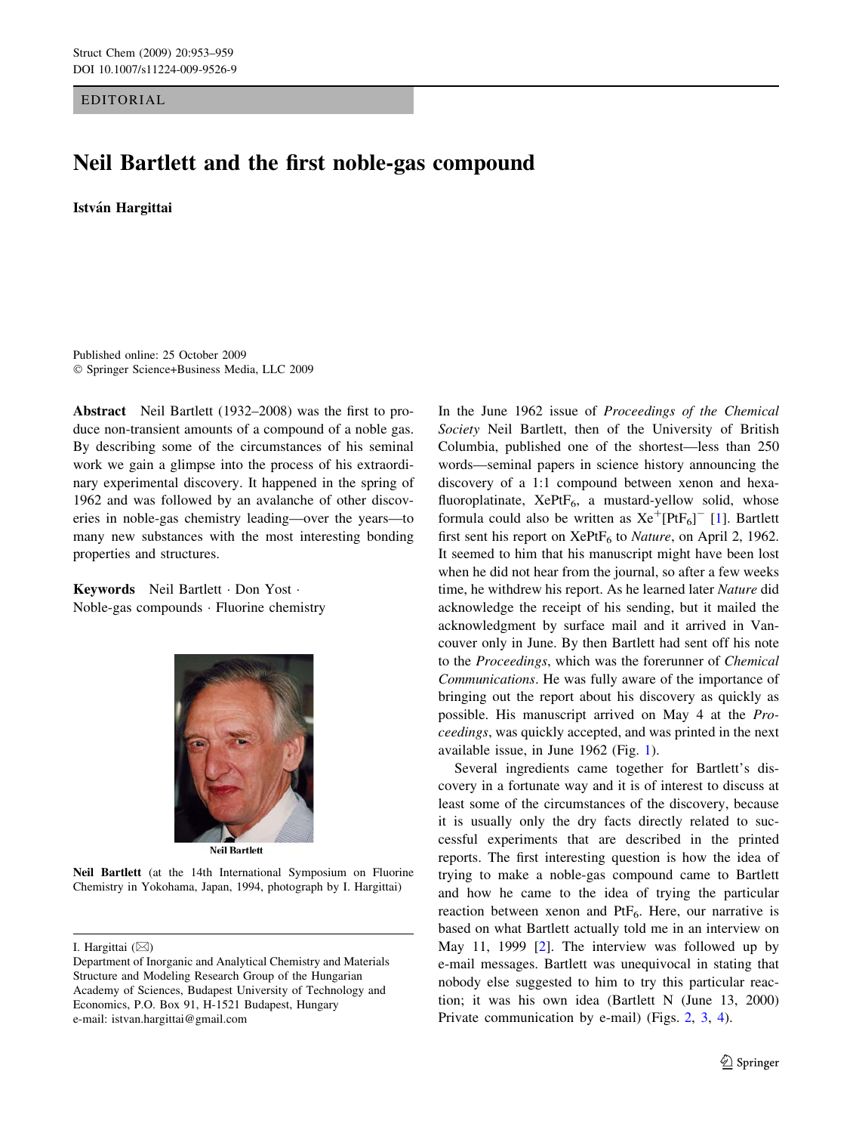EDITORIAL

## Neil Bartlett and the first noble-gas compound

**István Hargittai** 

Published online: 25 October 2009 Springer Science+Business Media, LLC 2009

Abstract Neil Bartlett (1932–2008) was the first to produce non-transient amounts of a compound of a noble gas. By describing some of the circumstances of his seminal work we gain a glimpse into the process of his extraordinary experimental discovery. It happened in the spring of 1962 and was followed by an avalanche of other discoveries in noble-gas chemistry leading—over the years—to many new substances with the most interesting bonding properties and structures.

Keywords Neil Bartlett · Don Yost · Noble-gas compounds Fluorine chemistry



**Neil Bartlett** 

Neil Bartlett (at the 14th International Symposium on Fluorine Chemistry in Yokohama, Japan, 1994, photograph by I. Hargittai)

I. Hargittai  $(\boxtimes)$ 

In the June 1962 issue of Proceedings of the Chemical Society Neil Bartlett, then of the University of British Columbia, published one of the shortest—less than 250 words—seminal papers in science history announcing the discovery of a 1:1 compound between xenon and hexafluoroplatinate,  $XePtF_6$ , a mustard-yellow solid, whose formula could also be written as  $Xe^{+}[PtF_6]^{-}[1]$  $Xe^{+}[PtF_6]^{-}[1]$ . Bartlett first sent his report on  $XePtF_6$  to *Nature*, on April 2, 1962. It seemed to him that his manuscript might have been lost when he did not hear from the journal, so after a few weeks time, he withdrew his report. As he learned later Nature did acknowledge the receipt of his sending, but it mailed the acknowledgment by surface mail and it arrived in Vancouver only in June. By then Bartlett had sent off his note to the Proceedings, which was the forerunner of Chemical Communications. He was fully aware of the importance of bringing out the report about his discovery as quickly as possible. His manuscript arrived on May 4 at the Proceedings, was quickly accepted, and was printed in the next available issue, in June 1962 (Fig. [1\)](#page-1-0).

Several ingredients came together for Bartlett's discovery in a fortunate way and it is of interest to discuss at least some of the circumstances of the discovery, because it is usually only the dry facts directly related to successful experiments that are described in the printed reports. The first interesting question is how the idea of trying to make a noble-gas compound came to Bartlett and how he came to the idea of trying the particular reaction between xenon and PtF $_6$ . Here, our narrative is based on what Bartlett actually told me in an interview on May 11, 1999 [\[2](#page-5-0)]. The interview was followed up by e-mail messages. Bartlett was unequivocal in stating that nobody else suggested to him to try this particular reaction; it was his own idea (Bartlett N (June 13, 2000) Private communication by e-mail) (Figs. [2](#page-1-0), [3,](#page-2-0) [4](#page-2-0)).

Department of Inorganic and Analytical Chemistry and Materials Structure and Modeling Research Group of the Hungarian Academy of Sciences, Budapest University of Technology and Economics, P.O. Box 91, H-1521 Budapest, Hungary e-mail: istvan.hargittai@gmail.com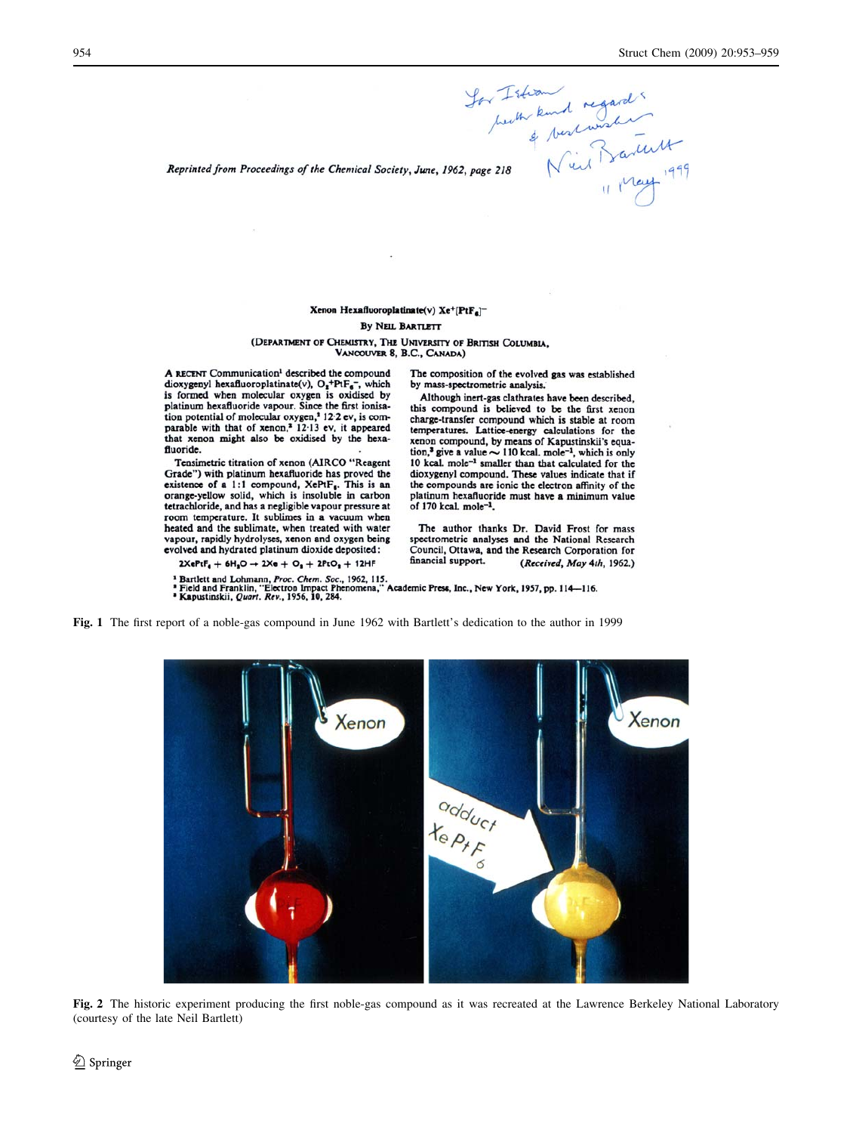

<span id="page-1-0"></span>Reprinted from Proceedings of the Chemical Society, June, 1962, page 218

## Xenon Hexafluoroplatinate(v)  $Xe^{+}[PtF_{d}]^{-}$ **By NEIL BARTLETT**

(DEPARTMENT OF CHEMISTRY, THE UNIVERSITY OF BRITISH COLUMBIA, VANCOUVER 8, B.C., CANADA)

A RECENT Communication<sup>1</sup> described the compound dioxygenyl hexafluoroplatinate(v), O<sub>2</sub>+PtF<sub>6</sub><sup>-</sup>, which is formed when molecular oxygen is oxidised by platinum hexafluoride vapour. Since the first ionisation potential of molecular oxygen,<sup>2</sup> 12.2 ev, is comparable with that of xenon,<sup>2</sup> 12.13 ev, it appeared that xenon might also be oxidised by the hexafluoride.

Tensimetric titration of xenon (AIRCO "Reagent Grade") with platinum hexafluoride has proved the existence of a 1:1 compound, XePtF<sub>6</sub>. This is an orange-yellow solid, which is insoluble in carbon tetrachloride, and has a negligible vapour pressure at room temperature. It sublimes in a vacuum when heated and the sublimate, when treated with water vapour, rapidly hydrolyses, xenon and oxygen being evolved and hydrated platinum dioxide deposited:  $2XePtF_4 + 6H_9O \rightarrow 2Xe + O_8 + 2PtO_9 + 12HF$ 

The composition of the evolved gas was established by mass-spectrometric analysis.

Although inert-gas clathrates have been described, this compound is believed to be the first xenon charge-transfer compound which is stable at room temperatures. Lattice-energy calculations for the xenon compound, by means of Kapustinskii's equation,<sup>3</sup> give a value  $\sim$  110 kcal. mole<sup>-1</sup>, which is only 10 kcal. mole<sup>-1</sup> smaller than that calculated for the dioxygenyl compound. These values indicate that if the compounds are ionic the electron affinity of the platinum hexafluoride must have a minimum value of 170 kcal. mole<sup>-1</sup>.

The author thanks Dr. David Frost for mass spectrometric analyses and the National Research Council, Ottawa, and the Research Corporation for financial support. (Received, May 4th, 1962.)

<sup>1</sup> Bartlett and Lohmann, Proc. Chem. Soc., 1962, 115.<br><sup>2</sup> Field and Franklin, "Electron Impact Phenomena," Academic Press, Inc., New York, 1957, pp. 114—116.<br><sup>2</sup> Kapustinskii, *Quart. Rev.*, 1956, 10, 284.

Fig. 1 The first report of a noble-gas compound in June 1962 with Bartlett's dedication to the author in 1999



Fig. 2 The historic experiment producing the first noble-gas compound as it was recreated at the Lawrence Berkeley National Laboratory (courtesy of the late Neil Bartlett)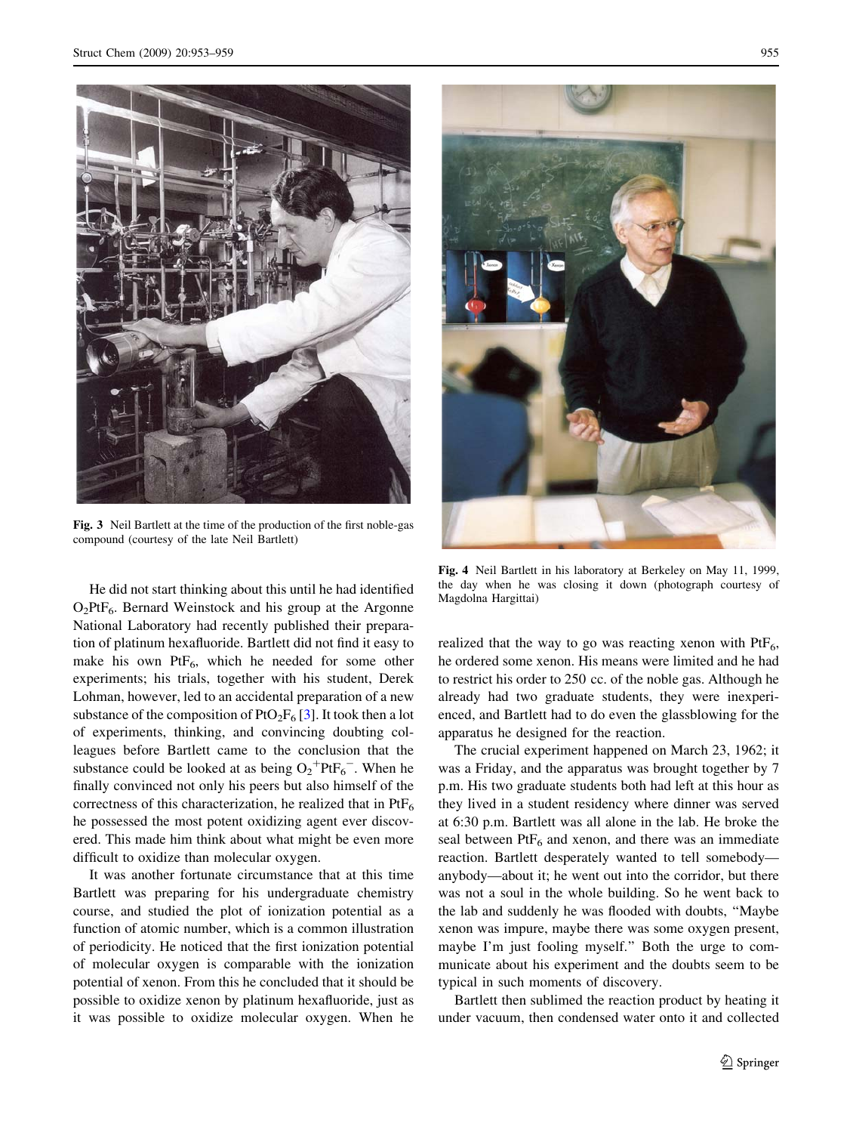<span id="page-2-0"></span>

Fig. 3 Neil Bartlett at the time of the production of the first noble-gas compound (courtesy of the late Neil Bartlett)

He did not start thinking about this until he had identified  $O<sub>2</sub>PtF<sub>6</sub>$ . Bernard Weinstock and his group at the Argonne National Laboratory had recently published their preparation of platinum hexafluoride. Bartlett did not find it easy to make his own Pt $F_6$ , which he needed for some other experiments; his trials, together with his student, Derek Lohman, however, led to an accidental preparation of a new substance of the composition of  $P_1O_2F_6$  [\[3](#page-5-0)]. It took then a lot of experiments, thinking, and convincing doubting colleagues before Bartlett came to the conclusion that the substance could be looked at as being  $O_2^+$ Pt $F_6^-$ . When he finally convinced not only his peers but also himself of the correctness of this characterization, he realized that in  $PtF_6$ he possessed the most potent oxidizing agent ever discovered. This made him think about what might be even more difficult to oxidize than molecular oxygen.

It was another fortunate circumstance that at this time Bartlett was preparing for his undergraduate chemistry course, and studied the plot of ionization potential as a function of atomic number, which is a common illustration of periodicity. He noticed that the first ionization potential of molecular oxygen is comparable with the ionization potential of xenon. From this he concluded that it should be possible to oxidize xenon by platinum hexafluoride, just as it was possible to oxidize molecular oxygen. When he



Fig. 4 Neil Bartlett in his laboratory at Berkeley on May 11, 1999, the day when he was closing it down (photograph courtesy of Magdolna Hargittai)

realized that the way to go was reacting xenon with  $PtF_6$ , he ordered some xenon. His means were limited and he had to restrict his order to 250 cc. of the noble gas. Although he already had two graduate students, they were inexperienced, and Bartlett had to do even the glassblowing for the apparatus he designed for the reaction.

The crucial experiment happened on March 23, 1962; it was a Friday, and the apparatus was brought together by 7 p.m. His two graduate students both had left at this hour as they lived in a student residency where dinner was served at 6:30 p.m. Bartlett was all alone in the lab. He broke the seal between  $PtF_6$  and xenon, and there was an immediate reaction. Bartlett desperately wanted to tell somebody anybody—about it; he went out into the corridor, but there was not a soul in the whole building. So he went back to the lab and suddenly he was flooded with doubts, ''Maybe xenon was impure, maybe there was some oxygen present, maybe I'm just fooling myself.'' Both the urge to communicate about his experiment and the doubts seem to be typical in such moments of discovery.

Bartlett then sublimed the reaction product by heating it under vacuum, then condensed water onto it and collected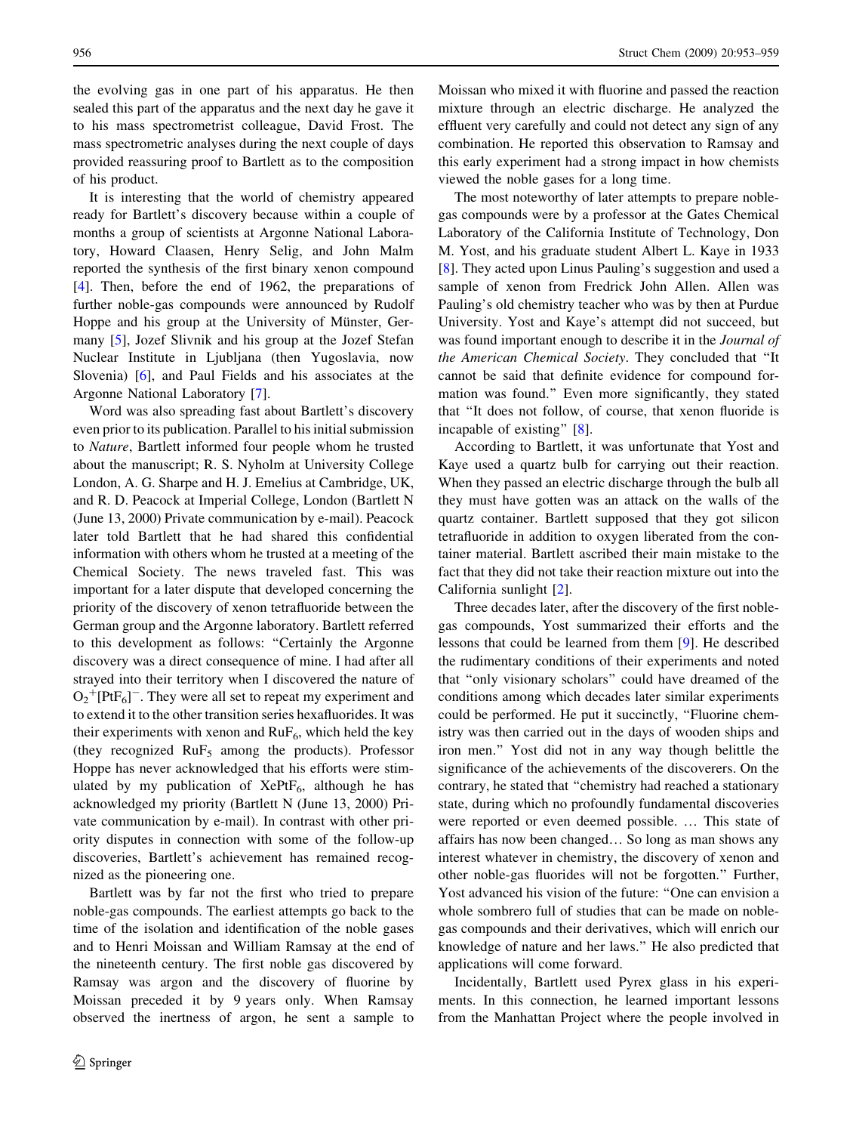the evolving gas in one part of his apparatus. He then sealed this part of the apparatus and the next day he gave it to his mass spectrometrist colleague, David Frost. The mass spectrometric analyses during the next couple of days provided reassuring proof to Bartlett as to the composition of his product.

It is interesting that the world of chemistry appeared ready for Bartlett's discovery because within a couple of months a group of scientists at Argonne National Laboratory, Howard Claasen, Henry Selig, and John Malm reported the synthesis of the first binary xenon compound [\[4](#page-5-0)]. Then, before the end of 1962, the preparations of further noble-gas compounds were announced by Rudolf Hoppe and his group at the University of Münster, Germany [\[5](#page-5-0)], Jozef Slivnik and his group at the Jozef Stefan Nuclear Institute in Ljubljana (then Yugoslavia, now Slovenia) [[6\]](#page-5-0), and Paul Fields and his associates at the Argonne National Laboratory [\[7](#page-6-0)].

Word was also spreading fast about Bartlett's discovery even prior to its publication. Parallel to his initial submission to Nature, Bartlett informed four people whom he trusted about the manuscript; R. S. Nyholm at University College London, A. G. Sharpe and H. J. Emelius at Cambridge, UK, and R. D. Peacock at Imperial College, London (Bartlett N (June 13, 2000) Private communication by e-mail). Peacock later told Bartlett that he had shared this confidential information with others whom he trusted at a meeting of the Chemical Society. The news traveled fast. This was important for a later dispute that developed concerning the priority of the discovery of xenon tetrafluoride between the German group and the Argonne laboratory. Bartlett referred to this development as follows: ''Certainly the Argonne discovery was a direct consequence of mine. I had after all strayed into their territory when I discovered the nature of  $O_2^+$ [PtF<sub>6</sub>]<sup>-</sup>. They were all set to repeat my experiment and to extend it to the other transition series hexafluorides. It was their experiments with xenon and  $RuF_6$ , which held the key (they recognized  $RuF_5$  among the products). Professor Hoppe has never acknowledged that his efforts were stimulated by my publication of  $XePtF_6$ , although he has acknowledged my priority (Bartlett N (June 13, 2000) Private communication by e-mail). In contrast with other priority disputes in connection with some of the follow-up discoveries, Bartlett's achievement has remained recognized as the pioneering one.

Bartlett was by far not the first who tried to prepare noble-gas compounds. The earliest attempts go back to the time of the isolation and identification of the noble gases and to Henri Moissan and William Ramsay at the end of the nineteenth century. The first noble gas discovered by Ramsay was argon and the discovery of fluorine by Moissan preceded it by 9 years only. When Ramsay observed the inertness of argon, he sent a sample to Moissan who mixed it with fluorine and passed the reaction mixture through an electric discharge. He analyzed the effluent very carefully and could not detect any sign of any combination. He reported this observation to Ramsay and this early experiment had a strong impact in how chemists viewed the noble gases for a long time.

The most noteworthy of later attempts to prepare noblegas compounds were by a professor at the Gates Chemical Laboratory of the California Institute of Technology, Don M. Yost, and his graduate student Albert L. Kaye in 1933 [\[8](#page-6-0)]. They acted upon Linus Pauling's suggestion and used a sample of xenon from Fredrick John Allen. Allen was Pauling's old chemistry teacher who was by then at Purdue University. Yost and Kaye's attempt did not succeed, but was found important enough to describe it in the Journal of the American Chemical Society. They concluded that ''It cannot be said that definite evidence for compound formation was found.'' Even more significantly, they stated that ''It does not follow, of course, that xenon fluoride is incapable of existing'' [\[8](#page-6-0)].

According to Bartlett, it was unfortunate that Yost and Kaye used a quartz bulb for carrying out their reaction. When they passed an electric discharge through the bulb all they must have gotten was an attack on the walls of the quartz container. Bartlett supposed that they got silicon tetrafluoride in addition to oxygen liberated from the container material. Bartlett ascribed their main mistake to the fact that they did not take their reaction mixture out into the California sunlight [[2](#page-5-0)].

Three decades later, after the discovery of the first noblegas compounds, Yost summarized their efforts and the lessons that could be learned from them [[9\]](#page-6-0). He described the rudimentary conditions of their experiments and noted that ''only visionary scholars'' could have dreamed of the conditions among which decades later similar experiments could be performed. He put it succinctly, ''Fluorine chemistry was then carried out in the days of wooden ships and iron men.'' Yost did not in any way though belittle the significance of the achievements of the discoverers. On the contrary, he stated that ''chemistry had reached a stationary state, during which no profoundly fundamental discoveries were reported or even deemed possible. … This state of affairs has now been changed… So long as man shows any interest whatever in chemistry, the discovery of xenon and other noble-gas fluorides will not be forgotten.'' Further, Yost advanced his vision of the future: ''One can envision a whole sombrero full of studies that can be made on noblegas compounds and their derivatives, which will enrich our knowledge of nature and her laws.'' He also predicted that applications will come forward.

Incidentally, Bartlett used Pyrex glass in his experiments. In this connection, he learned important lessons from the Manhattan Project where the people involved in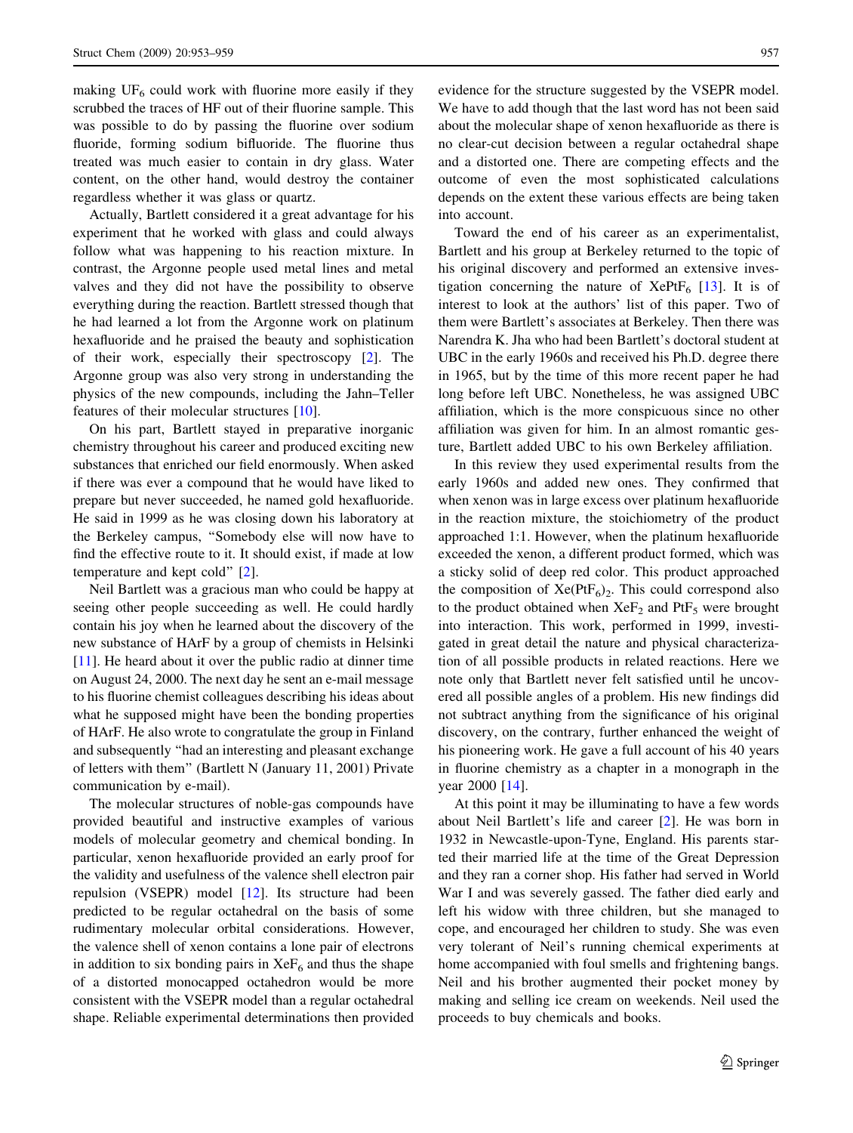making  $UF_6$  could work with fluorine more easily if they scrubbed the traces of HF out of their fluorine sample. This was possible to do by passing the fluorine over sodium fluoride, forming sodium bifluoride. The fluorine thus treated was much easier to contain in dry glass. Water content, on the other hand, would destroy the container regardless whether it was glass or quartz.

Actually, Bartlett considered it a great advantage for his experiment that he worked with glass and could always follow what was happening to his reaction mixture. In contrast, the Argonne people used metal lines and metal valves and they did not have the possibility to observe everything during the reaction. Bartlett stressed though that he had learned a lot from the Argonne work on platinum hexafluoride and he praised the beauty and sophistication of their work, especially their spectroscopy [[2\]](#page-5-0). The Argonne group was also very strong in understanding the physics of the new compounds, including the Jahn–Teller features of their molecular structures [\[10](#page-6-0)].

On his part, Bartlett stayed in preparative inorganic chemistry throughout his career and produced exciting new substances that enriched our field enormously. When asked if there was ever a compound that he would have liked to prepare but never succeeded, he named gold hexafluoride. He said in 1999 as he was closing down his laboratory at the Berkeley campus, ''Somebody else will now have to find the effective route to it. It should exist, if made at low temperature and kept cold'' [\[2](#page-5-0)].

Neil Bartlett was a gracious man who could be happy at seeing other people succeeding as well. He could hardly contain his joy when he learned about the discovery of the new substance of HArF by a group of chemists in Helsinki [\[11](#page-6-0)]. He heard about it over the public radio at dinner time on August 24, 2000. The next day he sent an e-mail message to his fluorine chemist colleagues describing his ideas about what he supposed might have been the bonding properties of HArF. He also wrote to congratulate the group in Finland and subsequently ''had an interesting and pleasant exchange of letters with them'' (Bartlett N (January 11, 2001) Private communication by e-mail).

The molecular structures of noble-gas compounds have provided beautiful and instructive examples of various models of molecular geometry and chemical bonding. In particular, xenon hexafluoride provided an early proof for the validity and usefulness of the valence shell electron pair repulsion (VSEPR) model [[12\]](#page-6-0). Its structure had been predicted to be regular octahedral on the basis of some rudimentary molecular orbital considerations. However, the valence shell of xenon contains a lone pair of electrons in addition to six bonding pairs in  $XeF_6$  and thus the shape of a distorted monocapped octahedron would be more consistent with the VSEPR model than a regular octahedral shape. Reliable experimental determinations then provided evidence for the structure suggested by the VSEPR model. We have to add though that the last word has not been said about the molecular shape of xenon hexafluoride as there is no clear-cut decision between a regular octahedral shape and a distorted one. There are competing effects and the outcome of even the most sophisticated calculations depends on the extent these various effects are being taken into account.

Toward the end of his career as an experimentalist, Bartlett and his group at Berkeley returned to the topic of his original discovery and performed an extensive investigation concerning the nature of  $XePtF_6$  [\[13](#page-6-0)]. It is of interest to look at the authors' list of this paper. Two of them were Bartlett's associates at Berkeley. Then there was Narendra K. Jha who had been Bartlett's doctoral student at UBC in the early 1960s and received his Ph.D. degree there in 1965, but by the time of this more recent paper he had long before left UBC. Nonetheless, he was assigned UBC affiliation, which is the more conspicuous since no other affiliation was given for him. In an almost romantic gesture, Bartlett added UBC to his own Berkeley affiliation.

In this review they used experimental results from the early 1960s and added new ones. They confirmed that when xenon was in large excess over platinum hexafluoride in the reaction mixture, the stoichiometry of the product approached 1:1. However, when the platinum hexafluoride exceeded the xenon, a different product formed, which was a sticky solid of deep red color. This product approached the composition of  $Xe(PtF_6)_2$ . This could correspond also to the product obtained when  $XeF_2$  and  $PtF_5$  were brought into interaction. This work, performed in 1999, investigated in great detail the nature and physical characterization of all possible products in related reactions. Here we note only that Bartlett never felt satisfied until he uncovered all possible angles of a problem. His new findings did not subtract anything from the significance of his original discovery, on the contrary, further enhanced the weight of his pioneering work. He gave a full account of his 40 years in fluorine chemistry as a chapter in a monograph in the year 2000 [\[14](#page-6-0)].

At this point it may be illuminating to have a few words about Neil Bartlett's life and career [[2\]](#page-5-0). He was born in 1932 in Newcastle-upon-Tyne, England. His parents started their married life at the time of the Great Depression and they ran a corner shop. His father had served in World War I and was severely gassed. The father died early and left his widow with three children, but she managed to cope, and encouraged her children to study. She was even very tolerant of Neil's running chemical experiments at home accompanied with foul smells and frightening bangs. Neil and his brother augmented their pocket money by making and selling ice cream on weekends. Neil used the proceeds to buy chemicals and books.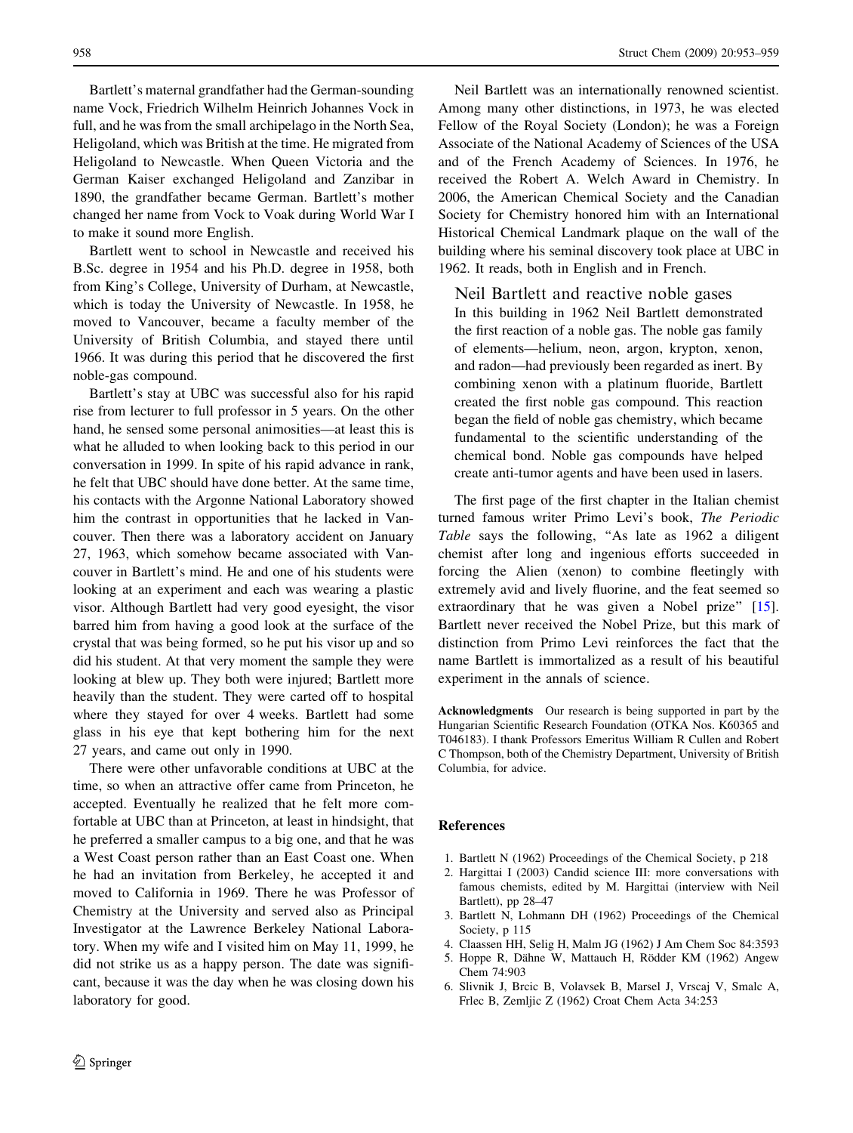<span id="page-5-0"></span>Bartlett's maternal grandfather had the German-sounding name Vock, Friedrich Wilhelm Heinrich Johannes Vock in full, and he was from the small archipelago in the North Sea, Heligoland, which was British at the time. He migrated from Heligoland to Newcastle. When Queen Victoria and the German Kaiser exchanged Heligoland and Zanzibar in 1890, the grandfather became German. Bartlett's mother changed her name from Vock to Voak during World War I to make it sound more English.

Bartlett went to school in Newcastle and received his B.Sc. degree in 1954 and his Ph.D. degree in 1958, both from King's College, University of Durham, at Newcastle, which is today the University of Newcastle. In 1958, he moved to Vancouver, became a faculty member of the University of British Columbia, and stayed there until 1966. It was during this period that he discovered the first noble-gas compound.

Bartlett's stay at UBC was successful also for his rapid rise from lecturer to full professor in 5 years. On the other hand, he sensed some personal animosities—at least this is what he alluded to when looking back to this period in our conversation in 1999. In spite of his rapid advance in rank, he felt that UBC should have done better. At the same time, his contacts with the Argonne National Laboratory showed him the contrast in opportunities that he lacked in Vancouver. Then there was a laboratory accident on January 27, 1963, which somehow became associated with Vancouver in Bartlett's mind. He and one of his students were looking at an experiment and each was wearing a plastic visor. Although Bartlett had very good eyesight, the visor barred him from having a good look at the surface of the crystal that was being formed, so he put his visor up and so did his student. At that very moment the sample they were looking at blew up. They both were injured; Bartlett more heavily than the student. They were carted off to hospital where they stayed for over 4 weeks. Bartlett had some glass in his eye that kept bothering him for the next 27 years, and came out only in 1990.

There were other unfavorable conditions at UBC at the time, so when an attractive offer came from Princeton, he accepted. Eventually he realized that he felt more comfortable at UBC than at Princeton, at least in hindsight, that he preferred a smaller campus to a big one, and that he was a West Coast person rather than an East Coast one. When he had an invitation from Berkeley, he accepted it and moved to California in 1969. There he was Professor of Chemistry at the University and served also as Principal Investigator at the Lawrence Berkeley National Laboratory. When my wife and I visited him on May 11, 1999, he did not strike us as a happy person. The date was significant, because it was the day when he was closing down his laboratory for good.

Neil Bartlett was an internationally renowned scientist. Among many other distinctions, in 1973, he was elected Fellow of the Royal Society (London); he was a Foreign Associate of the National Academy of Sciences of the USA and of the French Academy of Sciences. In 1976, he received the Robert A. Welch Award in Chemistry. In 2006, the American Chemical Society and the Canadian Society for Chemistry honored him with an International Historical Chemical Landmark plaque on the wall of the building where his seminal discovery took place at UBC in 1962. It reads, both in English and in French.

## Neil Bartlett and reactive noble gases

In this building in 1962 Neil Bartlett demonstrated the first reaction of a noble gas. The noble gas family of elements—helium, neon, argon, krypton, xenon, and radon—had previously been regarded as inert. By combining xenon with a platinum fluoride, Bartlett created the first noble gas compound. This reaction began the field of noble gas chemistry, which became fundamental to the scientific understanding of the chemical bond. Noble gas compounds have helped create anti-tumor agents and have been used in lasers.

The first page of the first chapter in the Italian chemist turned famous writer Primo Levi's book, The Periodic Table says the following, "As late as 1962 a diligent chemist after long and ingenious efforts succeeded in forcing the Alien (xenon) to combine fleetingly with extremely avid and lively fluorine, and the feat seemed so extraordinary that he was given a Nobel prize" [\[15](#page-6-0)]. Bartlett never received the Nobel Prize, but this mark of distinction from Primo Levi reinforces the fact that the name Bartlett is immortalized as a result of his beautiful experiment in the annals of science.

Acknowledgments Our research is being supported in part by the Hungarian Scientific Research Foundation (OTKA Nos. K60365 and T046183). I thank Professors Emeritus William R Cullen and Robert C Thompson, both of the Chemistry Department, University of British Columbia, for advice.

## References

- 1. Bartlett N (1962) Proceedings of the Chemical Society, p 218
- 2. Hargittai I (2003) Candid science III: more conversations with famous chemists, edited by M. Hargittai (interview with Neil Bartlett), pp 28–47
- 3. Bartlett N, Lohmann DH (1962) Proceedings of the Chemical Society, p 115
- 4. Claassen HH, Selig H, Malm JG (1962) J Am Chem Soc 84:3593
- 5. Hoppe R, Dähne W, Mattauch H, Rödder KM (1962) Angew Chem 74:903
- 6. Slivnik J, Brcic B, Volavsek B, Marsel J, Vrscaj V, Smalc A, Frlec B, Zemljic Z (1962) Croat Chem Acta 34:253